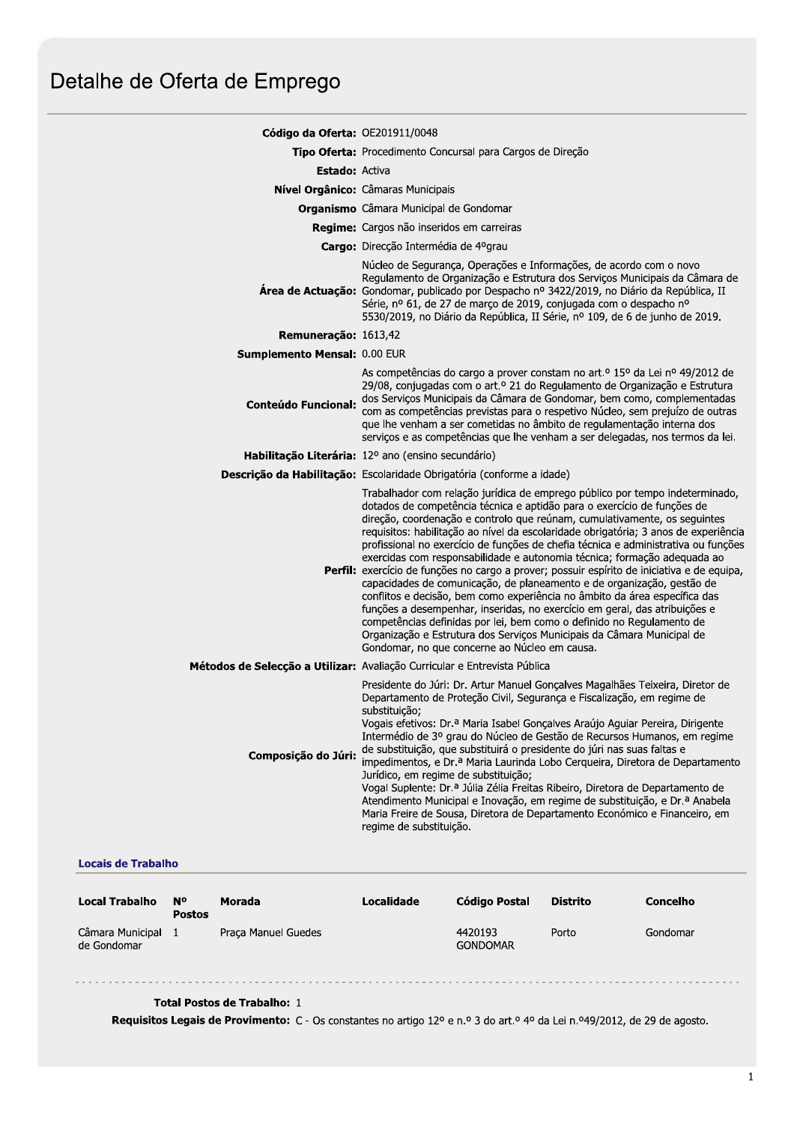## Detalhe de Oferta de Emprego

| Código da Oferta: OE201911/0048 |                                                                                                                                                                                                                                                                                                                                                                                                                                                                                                                                                                                                                                                                                                                                                                                                                                                                                                                                                                                                                                        |  |  |  |  |
|---------------------------------|----------------------------------------------------------------------------------------------------------------------------------------------------------------------------------------------------------------------------------------------------------------------------------------------------------------------------------------------------------------------------------------------------------------------------------------------------------------------------------------------------------------------------------------------------------------------------------------------------------------------------------------------------------------------------------------------------------------------------------------------------------------------------------------------------------------------------------------------------------------------------------------------------------------------------------------------------------------------------------------------------------------------------------------|--|--|--|--|
|                                 | Tipo Oferta: Procedimento Concursal para Cargos de Direção                                                                                                                                                                                                                                                                                                                                                                                                                                                                                                                                                                                                                                                                                                                                                                                                                                                                                                                                                                             |  |  |  |  |
| <b>Estado: Activa</b>           |                                                                                                                                                                                                                                                                                                                                                                                                                                                                                                                                                                                                                                                                                                                                                                                                                                                                                                                                                                                                                                        |  |  |  |  |
|                                 | Nível Orgânico: Câmaras Municipais                                                                                                                                                                                                                                                                                                                                                                                                                                                                                                                                                                                                                                                                                                                                                                                                                                                                                                                                                                                                     |  |  |  |  |
|                                 | Organismo Câmara Municipal de Gondomar                                                                                                                                                                                                                                                                                                                                                                                                                                                                                                                                                                                                                                                                                                                                                                                                                                                                                                                                                                                                 |  |  |  |  |
|                                 | Regime: Cargos não inseridos em carreiras                                                                                                                                                                                                                                                                                                                                                                                                                                                                                                                                                                                                                                                                                                                                                                                                                                                                                                                                                                                              |  |  |  |  |
|                                 | Cargo: Direcção Intermédia de 4ºgrau                                                                                                                                                                                                                                                                                                                                                                                                                                                                                                                                                                                                                                                                                                                                                                                                                                                                                                                                                                                                   |  |  |  |  |
|                                 | Núcleo de Segurança, Operações e Informações, de acordo com o novo<br>Regulamento de Organização e Estrutura dos Serviços Municipais da Câmara de<br><b>Área de Actuação:</b> Gondomar, publicado por Despacho nº 3422/2019, no Diário da República, II<br>Série, nº 61, de 27 de março de 2019, conjugada com o despacho nº<br>5530/2019, no Diário da República, II Série, nº 109, de 6 de junho de 2019.                                                                                                                                                                                                                                                                                                                                                                                                                                                                                                                                                                                                                            |  |  |  |  |
| Remuneração: 1613,42            |                                                                                                                                                                                                                                                                                                                                                                                                                                                                                                                                                                                                                                                                                                                                                                                                                                                                                                                                                                                                                                        |  |  |  |  |
| Sumplemento Mensal: 0.00 EUR    |                                                                                                                                                                                                                                                                                                                                                                                                                                                                                                                                                                                                                                                                                                                                                                                                                                                                                                                                                                                                                                        |  |  |  |  |
| <b>Conteúdo Funcional:</b>      | As competências do cargo a prover constam no art.º 15º da Lei nº 49/2012 de<br>29/08, conjugadas com o art.º 21 do Regulamento de Organização e Estrutura<br>dos Serviços Municipais da Câmara de Gondomar, bem como, complementadas<br>com as competências previstas para o respetivo Núcleo, sem prejuízo de outras<br>que lhe venham a ser cometidas no âmbito de regulamentação interna dos<br>serviços e as competências que lhe venham a ser delegadas, nos termos da lei.                                                                                                                                                                                                                                                                                                                                                                                                                                                                                                                                                       |  |  |  |  |
|                                 | Habilitação Literária: 12º ano (ensino secundário)                                                                                                                                                                                                                                                                                                                                                                                                                                                                                                                                                                                                                                                                                                                                                                                                                                                                                                                                                                                     |  |  |  |  |
|                                 | Descrição da Habilitação: Escolaridade Obrigatória (conforme a idade)                                                                                                                                                                                                                                                                                                                                                                                                                                                                                                                                                                                                                                                                                                                                                                                                                                                                                                                                                                  |  |  |  |  |
|                                 | Trabalhador com relação jurídica de emprego público por tempo indeterminado,<br>dotados de competência técnica e aptidão para o exercício de funções de<br>direção, coordenação e controlo que reúnam, cumulativamente, os seguintes<br>requisitos: habilitação ao nível da escolaridade obrigatória; 3 anos de experiência<br>profissional no exercício de funções de chefia técnica e administrativa ou funções<br>exercidas com responsabilidade e autonomia técnica; formação adequada ao<br>Perfil: exercício de funções no cargo a prover; possuir espírito de iniciativa e de equipa,<br>capacidades de comunicação, de planeamento e de organização, gestão de<br>conflitos e decisão, bem como experiência no âmbito da área específica das<br>funções a desempenhar, inseridas, no exercício em geral, das atribuições e<br>competências definidas por lei, bem como o definido no Regulamento de<br>Organização e Estrutura dos Serviços Municipais da Câmara Municipal de<br>Gondomar, no que concerne ao Núcleo em causa. |  |  |  |  |
|                                 | létodos de Selecção a Utilizar: Avaliação Curricular e Entrevista Pública                                                                                                                                                                                                                                                                                                                                                                                                                                                                                                                                                                                                                                                                                                                                                                                                                                                                                                                                                              |  |  |  |  |
| Composição do Júri:             | Presidente do Júri: Dr. Artur Manuel Gonçalves Magalhães Teixeira, Diretor de<br>Departamento de Proteção Civil, Segurança e Fiscalização, em regime de<br>substituicão;<br>Vogais efetivos: Dr.ª Maria Isabel Gonçalves Araújo Aguiar Pereira, Dirigente<br>Intermédio de 3º grau do Núcleo de Gestão de Recursos Humanos, em regime<br>de substituição, que substituirá o presidente do júri nas suas faltas e<br>impedimentos, e Dr.ª Maria Laurinda Lobo Cerqueira, Diretora de Departamento<br>Jurídico, em regime de substituição;<br>Vogal Suplente: Dr.ª Júlia Zélia Freitas Ribeiro, Diretora de Departamento de<br>Atendimento Municipal e Inovação, em regime de substituição, e Dr.ª Anabela<br>Maria Freire de Sousa, Diretora de Departamento Económico e Financeiro, em<br>regime de substituição.                                                                                                                                                                                                                      |  |  |  |  |

## **Locais de Trabalho**

| <b>Local Trabalho</b>           | N°<br><b>Postos</b> | Morada              | Localidade | Código Postal              | Distrito | Concelho |
|---------------------------------|---------------------|---------------------|------------|----------------------------|----------|----------|
| Câmara Municipal<br>de Gondomar |                     | Praca Manuel Guedes |            | 4420193<br><b>GONDOMAR</b> | Porto    | Gondomar |

## Total Postos de Trabalho: 1

Requisitos Legais de Provimento: C - Os constantes no artigo 12º e n.º 3 do art.º 4º da Lei n.º49/2012, de 29 de agosto.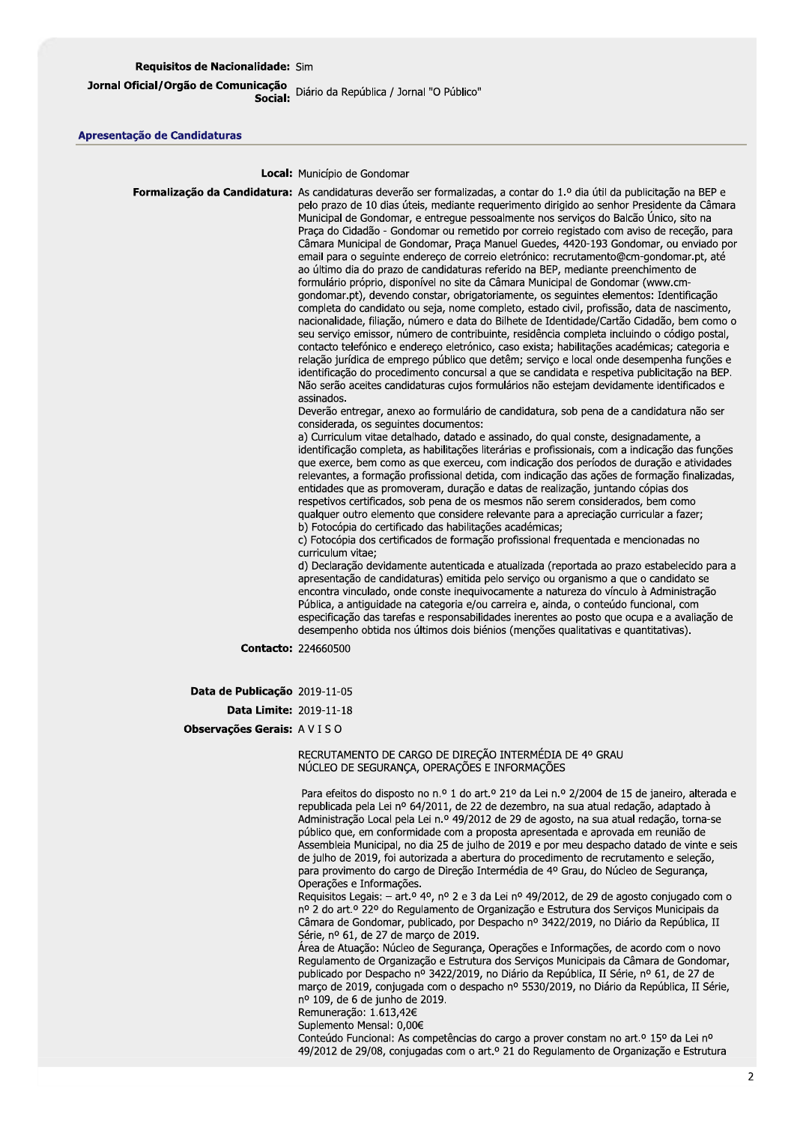Jornal Oficial/Orgão de Comunicação<br>"Social: Diário da República / Jornal "O Público"

## Apresentação de Candidaturas

Local: Município de Gondomar

Formalização da Candidatura: As candidaturas deverão ser formalizadas, a contar do 1.º dia útil da publicitação na BEP e pelo prazo de 10 dias úteis, mediante requerimento dirigido ao senhor Presidente da Câmara Municipal de Gondomar, e entreque pessoalmente nos serviços do Balcão Único, sito na Praça do Cidadão - Gondomar ou remetido por correio registado com aviso de receção, para Câmara Municipal de Gondomar, Praca Manuel Guedes, 4420-193 Gondomar, ou enviado por email para o seguinte endereço de correio eletrónico: recrutamento@cm-gondomar.pt, até ao último dia do prazo de candidaturas referido na BEP, mediante preenchimento de formulário próprio, disponível no site da Câmara Municipal de Gondomar (www.cmgondomar.pt), devendo constar, obrigatoriamente, os seguintes elementos: Identificação completa do candidato ou seja, nome completo, estado civil, profissão, data de nascimento, nacionalidade, filiação, número e data do Bilhete de Identidade/Cartão Cidadão, bem como o seu servico emissor, número de contribuinte, residência completa incluindo o código postal, contacto telefónico e endereço eletrónico, caso exista; habilitações académicas; categoria e relação jurídica de emprego público que detêm; servico e local onde desempenha funções e identificação do procedimento concursal a que se candidata e respetiva publicitação na BEP. Não serão aceites candidaturas cujos formulários não estejam devidamente identificados e assinados. Deverão entregar, anexo ao formulário de candidatura, sob pena de a candidatura não ser considerada, os sequintes documentos: a) Curriculum vitae detalhado, datado e assinado, do qual conste, designadamente, a identificação completa, as habilitações literárias e profissionais, com a indicação das funções que exerce, bem como as que exerceu, com indicação dos períodos de duração e atividades relevantes, a formação profissional detida, com indicação das ações de formação finalizadas, entidades que as promoveram, duração e datas de realização, juntando cópias dos respetivos certificados, sob pena de os mesmos não serem considerados, bem como qualquer outro elemento que considere relevante para a apreciação curricular a fazer; b) Fotocópia do certificado das habilitações académicas; c) Fotocópia dos certificados de formação profissional frequentada e mencionadas no curriculum vitae: d) Declaração devidamente autenticada e atualizada (reportada ao prazo estabelecido para a apresentação de candidaturas) emitida pelo serviço ou organismo a que o candidato se encontra vinculado, onde conste inequivocamente a natureza do vínculo à Administração Pública, a antiguidade na categoria e/ou carreira e, ainda, o conteúdo funcional, com especificação das tarefas e responsabilidades inerentes ao posto que ocupa e a avaliação de desempenho obtida nos últimos dois biénios (menções qualitativas e quantitativas). **Contacto: 224660500** Data de Publicação 2019-11-05 **Data Limite: 2019-11-18** 

Observações Gerais: AVISO

RECRUTAMENTO DE CARGO DE DIRECÃO INTERMÉDIA DE 4º GRAU NÚCLEO DE SEGURANÇA, OPERAÇÕES E INFORMAÇÕES

Para efeitos do disposto no n.º 1 do art.º 21º da Lei n.º 2/2004 de 15 de janeiro, alterada e republicada pela Lei nº 64/2011, de 22 de dezembro, na sua atual redação, adaptado à Administração Local pela Lei n.º 49/2012 de 29 de agosto, na sua atual redação, torna-se público que, em conformidade com a proposta apresentada e aprovada em reunião de Assembleia Municipal, no dia 25 de julho de 2019 e por meu despacho datado de vinte e seis de julho de 2019, foi autorizada a abertura do procedimento de recrutamento e seleção, para provimento do cargo de Direção Intermédia de 4º Grau, do Núcleo de Segurança, Operações e Informações.

Requisitos Legais: - art.º 4º, nº 2 e 3 da Lei nº 49/2012, de 29 de agosto conjugado com o nº 2 do art.º 22º do Regulamento de Organização e Estrutura dos Serviços Municipais da Câmara de Gondomar, publicado, por Despacho nº 3422/2019, no Diário da República, II Série, nº 61, de 27 de março de 2019.

Área de Atuação: Núcleo de Segurança, Operações e Informações, de acordo com o novo Regulamento de Organização e Estrutura dos Serviços Municipais da Câmara de Gondomar, publicado por Despacho nº 3422/2019, no Diário da República, II Série, nº 61, de 27 de março de 2019, conjugada com o despacho nº 5530/2019, no Diário da República, II Série, nº 109, de 6 de junho de 2019.

Remuneracão: 1.613,42€

Suplemento Mensal: 0,00€

Conteúdo Funcional: As competências do cargo a prover constam no art.<sup>o</sup> 15<sup>o</sup> da Lei n<sup>o</sup> 49/2012 de 29/08, conjugadas com o art.º 21 do Regulamento de Organização e Estrutura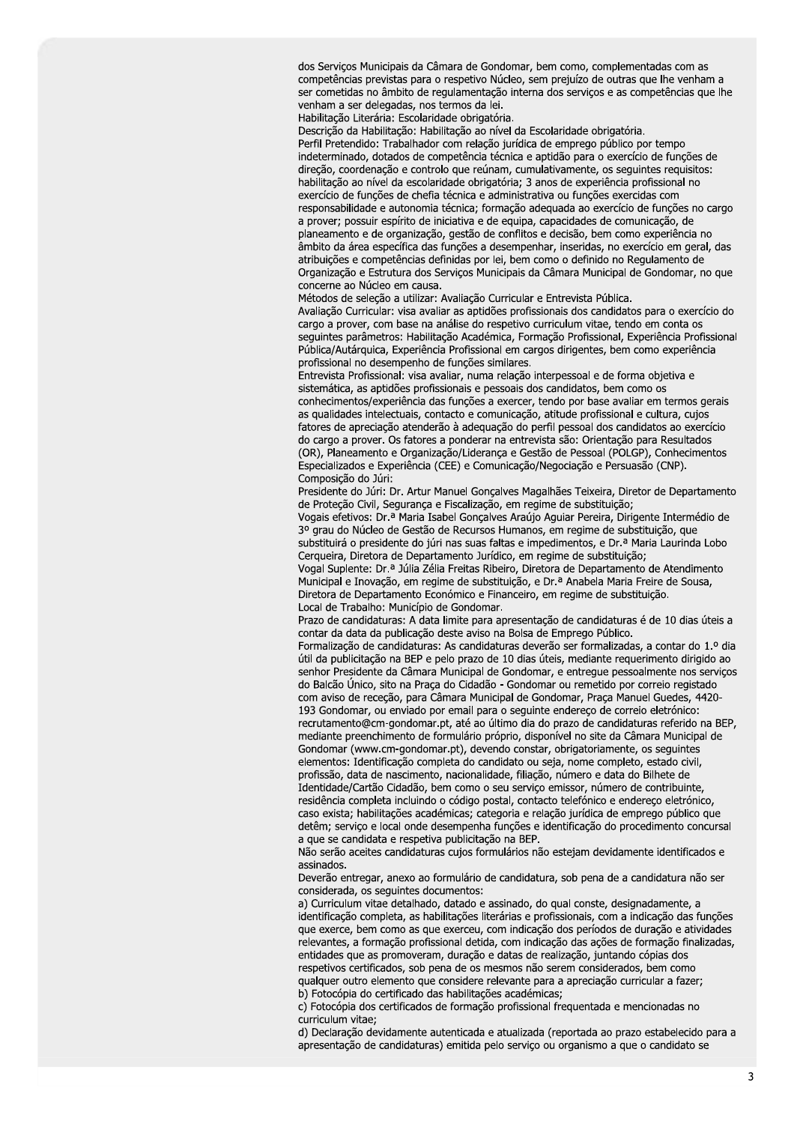dos Serviços Municipais da Câmara de Gondomar, bem como, complementadas com as competências previstas para o respetivo Núcleo, sem prejuízo de outras que lhe venham a ser cometidas no âmbito de regulamentação interna dos serviços e as competências que lhe venham a ser delegadas, nos termos da lei.

Habilitação Literária: Escolaridade obrigatória.

Descrição da Habilitação: Habilitação ao nível da Escolaridade obrigatória.

Perfil Pretendido: Trabalhador com relação jurídica de emprego público por tempo indeterminado, dotados de competência técnica e aptidão para o exercício de funções de direção, coordenação e controlo que reúnam, cumulativamente, os seguintes requisitos: habilitação ao nível da escolaridade obrigatória; 3 anos de experiência profissional no exercício de funções de chefia técnica e administrativa ou funções exercidas com responsabilidade e autonomia técnica; formação adequada ao exercício de funções no cargo a prover; possuir espírito de iniciativa e de equipa, capacidades de comunicação, de planeamento e de organização, gestão de conflitos e decisão, bem como experiência no âmbito da área específica das funções a desempenhar, inseridas, no exercício em geral, das atribuições e competências definidas por lei, bem como o definido no Regulamento de Organização e Estrutura dos Serviços Municipais da Câmara Municipal de Gondomar, no que concerne ao Núcleo em causa.

Métodos de seleção a utilizar: Avaliação Curricular e Entrevista Pública. Avaliação Curricular: visa avaliar as aptidões profissionais dos candidatos para o exercício do cargo a prover, com base na análise do respetivo curriculum vitae, tendo em conta os seguintes parâmetros: Habilitação Académica, Formação Profissional, Experiência Profissional Pública/Autárquica, Experiência Profissional em cargos dirigentes, bem como experiência profissional no desempenho de funções similares.

Entrevista Profissional: visa avaliar, numa relação interpessoal e de forma objetiva e sistemática, as aptidões profissionais e pessoais dos candidatos, bem como os conhecimentos/experiência das funções a exercer, tendo por base avaliar em termos gerais as qualidades intelectuais, contacto e comunicação, atitude profissional e cultura, cujos fatores de apreciação atenderão à adequação do perfil pessoal dos candidatos ao exercício do cargo a prover. Os fatores a ponderar na entrevista são: Orientação para Resultados (OR), Planeamento e Organização/Liderança e Gestão de Pessoal (POLGP), Conhecimentos Especializados e Experiência (CEE) e Comunicação/Negociação e Persuasão (CNP). Composição do Júri:

Presidente do Júri: Dr. Artur Manuel Goncalves Magalhães Teixeira. Diretor de Departamento de Proteção Civil, Segurança e Fiscalização, em regime de substituição;

Vogais efetivos: Dr.ª Maria Isabel Gonçalves Araújo Aguiar Pereira, Dirigente Intermédio de 3º grau do Núcleo de Gestão de Recursos Humanos, em regime de substituição, que substituirá o presidente do júri nas suas faltas e impedimentos, e Dr.ª Maria Laurinda Lobo Cerqueira, Diretora de Departamento Jurídico, em regime de substituição;

Vogal Suplente: Dr.ª Júlia Zélia Freitas Ribeiro, Diretora de Departamento de Atendimento Municipal e Inovação, em regime de substituição, e Dr.ª Anabela Maria Freire de Sousa, Diretora de Departamento Económico e Financeiro, em regime de substituição. Local de Trabalho: Município de Gondomar.

Prazo de candidaturas: A data limite para apresentação de candidaturas é de 10 dias úteis a contar da data da publicação deste aviso na Bolsa de Emprego Público.

Formalização de candidaturas: As candidaturas deverão ser formalizadas, a contar do 1.º dia útil da publicitação na BEP e pelo prazo de 10 dias úteis, mediante requerimento dirigido ao senhor Presidente da Câmara Municipal de Gondomar, e entreque pessoalmente nos serviços do Balcão Único, sito na Praça do Cidadão - Gondomar ou remetido por correio registado com aviso de receção, para Câmara Municipal de Gondomar, Praca Manuel Guedes, 4420-193 Gondomar, ou enviado por email para o seguinte endereço de correio eletrónico: recrutamento@cm-gondomar.pt, até ao último dia do prazo de candidaturas referido na BEP, mediante preenchimento de formulário próprio, disponível no site da Câmara Municipal de Gondomar (www.cm-gondomar.pt), devendo constar, obrigatoriamente, os seguintes elementos: Identificação completa do candidato ou seja, nome completo, estado civil, profissão, data de nascimento, nacionalidade, filiação, número e data do Bilhete de Identidade/Cartão Cidadão, bem como o seu serviço emissor, número de contribuinte, residência completa incluindo o código postal, contacto telefónico e endereço eletrónico, caso exista: habilitações académicas; categoria e relação jurídica de emprego público que detêm; serviço e local onde desempenha funções e identificação do procedimento concursal a que se candidata e respetiva publicitação na BEP.

Não serão aceites candidaturas cujos formulários não estejam devidamente identificados e assinados.

Deverão entregar, anexo ao formulário de candidatura, sob pena de a candidatura não ser considerada, os sequintes documentos:

a) Curriculum vitae detalhado, datado e assinado, do qual conste, designadamente, a identificação completa, as habilitações literárias e profissionais, com a indicação das funções que exerce, bem como as que exerceu, com indicação dos períodos de duração e atividades relevantes, a formação profissional detida, com indicação das ações de formação finalizadas, entidades que as promoveram, duração e datas de realização, juntando cópias dos respetivos certificados, sob pena de os mesmos não serem considerados, bem como qualquer outro elemento que considere relevante para a apreciação curricular a fazer; b) Fotocópia do certificado das habilitações académicas;

c) Fotocópia dos certificados de formação profissional frequentada e mencionadas no curriculum vitae;

d) Declaração devidamente autenticada e atualizada (reportada ao prazo estabelecido para a apresentação de candidaturas) emitida pelo serviço ou organismo a que o candidato se